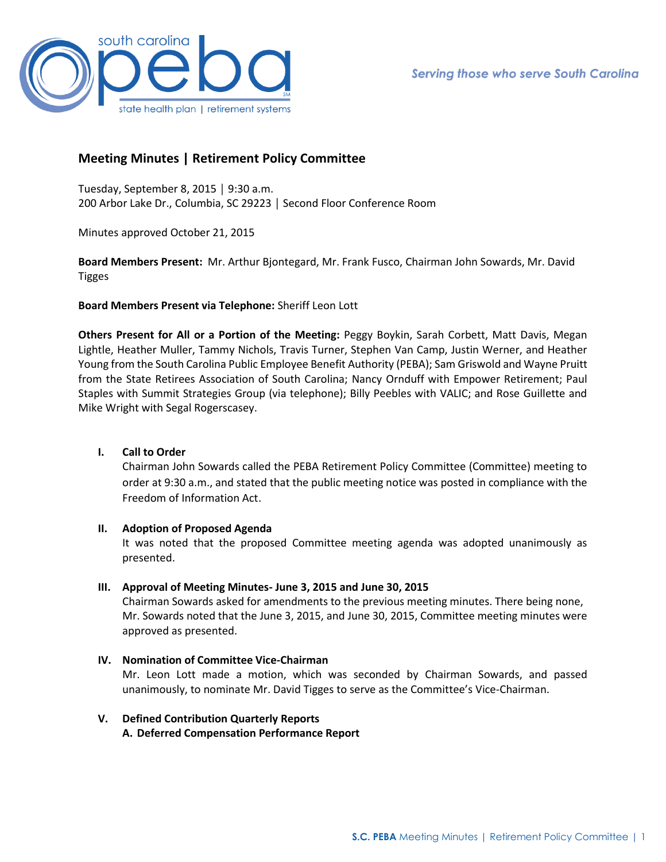

# **Meeting Minutes | Retirement Policy Committee**

Tuesday, September 8, 2015 │ 9:30 a.m. 200 Arbor Lake Dr., Columbia, SC 29223 │ Second Floor Conference Room

Minutes approved October 21, 2015

**Board Members Present:** Mr. Arthur Bjontegard, Mr. Frank Fusco, Chairman John Sowards, Mr. David Tigges

# **Board Members Present via Telephone:** Sheriff Leon Lott

**Others Present for All or a Portion of the Meeting:** Peggy Boykin, Sarah Corbett, Matt Davis, Megan Lightle, Heather Muller, Tammy Nichols, Travis Turner, Stephen Van Camp, Justin Werner, and Heather Young from the South Carolina Public Employee Benefit Authority (PEBA); Sam Griswold and Wayne Pruitt from the State Retirees Association of South Carolina; Nancy Ornduff with Empower Retirement; Paul Staples with Summit Strategies Group (via telephone); Billy Peebles with VALIC; and Rose Guillette and Mike Wright with Segal Rogerscasey.

## **I. Call to Order**

Chairman John Sowards called the PEBA Retirement Policy Committee (Committee) meeting to order at 9:30 a.m., and stated that the public meeting notice was posted in compliance with the Freedom of Information Act.

## **II. Adoption of Proposed Agenda**

It was noted that the proposed Committee meeting agenda was adopted unanimously as presented.

# **III. Approval of Meeting Minutes- June 3, 2015 and June 30, 2015**

Chairman Sowards asked for amendments to the previous meeting minutes. There being none, Mr. Sowards noted that the June 3, 2015, and June 30, 2015, Committee meeting minutes were approved as presented.

**IV. Nomination of Committee Vice-Chairman**  Mr. Leon Lott made a motion, which was seconded by Chairman Sowards, and passed unanimously, to nominate Mr. David Tigges to serve as the Committee's Vice-Chairman.

# **V. Defined Contribution Quarterly Reports A. Deferred Compensation Performance Report**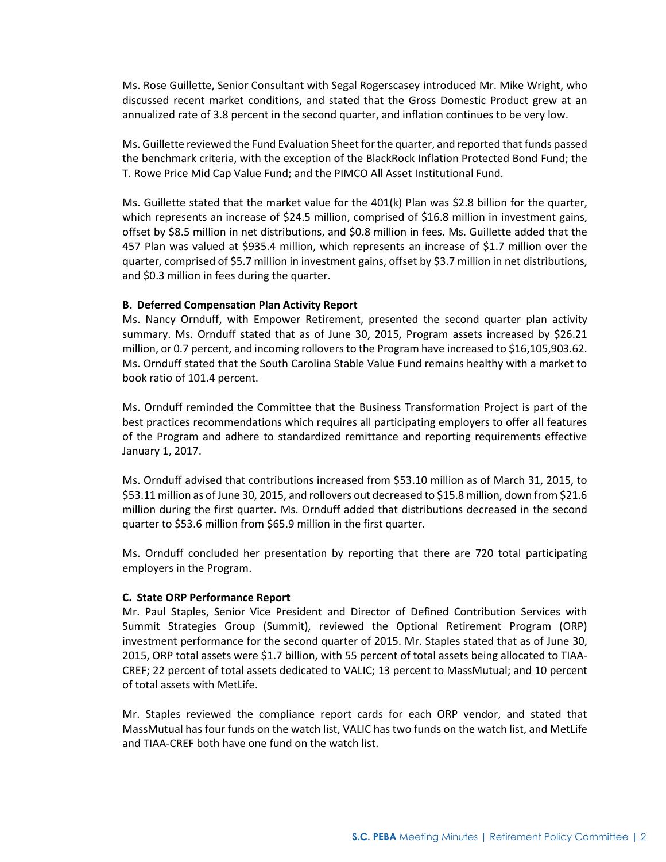Ms. Rose Guillette, Senior Consultant with Segal Rogerscasey introduced Mr. Mike Wright, who discussed recent market conditions, and stated that the Gross Domestic Product grew at an annualized rate of 3.8 percent in the second quarter, and inflation continues to be very low.

Ms. Guillette reviewed the Fund Evaluation Sheet for the quarter, and reported that funds passed the benchmark criteria, with the exception of the BlackRock Inflation Protected Bond Fund; the T. Rowe Price Mid Cap Value Fund; and the PIMCO All Asset Institutional Fund.

Ms. Guillette stated that the market value for the 401(k) Plan was \$2.8 billion for the quarter, which represents an increase of \$24.5 million, comprised of \$16.8 million in investment gains, offset by \$8.5 million in net distributions, and \$0.8 million in fees. Ms. Guillette added that the 457 Plan was valued at \$935.4 million, which represents an increase of \$1.7 million over the quarter, comprised of \$5.7 million in investment gains, offset by \$3.7 million in net distributions, and \$0.3 million in fees during the quarter.

## **B. Deferred Compensation Plan Activity Report**

Ms. Nancy Ornduff, with Empower Retirement, presented the second quarter plan activity summary. Ms. Ornduff stated that as of June 30, 2015, Program assets increased by \$26.21 million, or 0.7 percent, and incoming rollovers to the Program have increased to \$16,105,903.62. Ms. Ornduff stated that the South Carolina Stable Value Fund remains healthy with a market to book ratio of 101.4 percent.

Ms. Ornduff reminded the Committee that the Business Transformation Project is part of the best practices recommendations which requires all participating employers to offer all features of the Program and adhere to standardized remittance and reporting requirements effective January 1, 2017.

Ms. Ornduff advised that contributions increased from \$53.10 million as of March 31, 2015, to \$53.11 million as of June 30, 2015, and rollovers out decreased to \$15.8 million, down from \$21.6 million during the first quarter. Ms. Ornduff added that distributions decreased in the second quarter to \$53.6 million from \$65.9 million in the first quarter.

Ms. Ornduff concluded her presentation by reporting that there are 720 total participating employers in the Program.

## **C. State ORP Performance Report**

Mr. Paul Staples, Senior Vice President and Director of Defined Contribution Services with Summit Strategies Group (Summit), reviewed the Optional Retirement Program (ORP) investment performance for the second quarter of 2015. Mr. Staples stated that as of June 30, 2015, ORP total assets were \$1.7 billion, with 55 percent of total assets being allocated to TIAA-CREF; 22 percent of total assets dedicated to VALIC; 13 percent to MassMutual; and 10 percent of total assets with MetLife.

Mr. Staples reviewed the compliance report cards for each ORP vendor, and stated that MassMutual has four funds on the watch list, VALIC has two funds on the watch list, and MetLife and TIAA-CREF both have one fund on the watch list.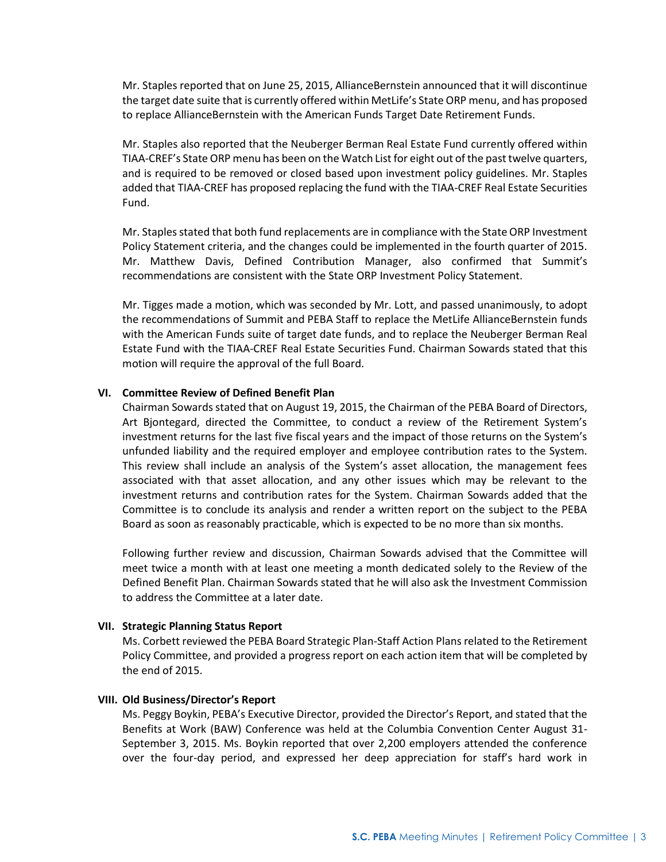Mr. Staples reported that on June 25, 2015, AllianceBernstein announced that it will discontinue the target date suite that is currently offered within MetLife's State ORP menu, and has proposed to replace AllianceBernstein with the American Funds Target Date Retirement Funds.

Mr. Staples also reported that the Neuberger Berman Real Estate Fund currently offered within TIAA-CREF's State ORP menu has been on the Watch List for eight out of the past twelve quarters, and is required to be removed or closed based upon investment policy guidelines. Mr. Staples added that TIAA-CREF has proposed replacing the fund with the TIAA-CREF Real Estate Securities Fund.

Mr. Staples stated that both fund replacements are in compliance with the State ORP Investment Policy Statement criteria, and the changes could be implemented in the fourth quarter of 2015. Mr. Matthew Davis, Defined Contribution Manager, also confirmed that Summit's recommendations are consistent with the State ORP Investment Policy Statement.

Mr. Tigges made a motion, which was seconded by Mr. Lott, and passed unanimously, to adopt the recommendations of Summit and PEBA Staff to replace the MetLife AllianceBernstein funds with the American Funds suite of target date funds, and to replace the Neuberger Berman Real Estate Fund with the TIAA-CREF Real Estate Securities Fund. Chairman Sowards stated that this motion will require the approval of the full Board.

#### **VI. Committee Review of Defined Benefit Plan**

Chairman Sowards stated that on August 19, 2015, the Chairman of the PEBA Board of Directors, Art Bjontegard, directed the Committee, to conduct a review of the Retirement System's investment returns for the last five fiscal years and the impact of those returns on the System's unfunded liability and the required employer and employee contribution rates to the System. This review shall include an analysis of the System's asset allocation, the management fees associated with that asset allocation, and any other issues which may be relevant to the investment returns and contribution rates for the System. Chairman Sowards added that the Committee is to conclude its analysis and render a written report on the subject to the PEBA Board as soon as reasonably practicable, which is expected to be no more than six months.

Following further review and discussion, Chairman Sowards advised that the Committee will meet twice a month with at least one meeting a month dedicated solely to the Review of the Defined Benefit Plan. Chairman Sowards stated that he will also ask the Investment Commission to address the Committee at a later date.

#### **VII. Strategic Planning Status Report**

Ms. Corbett reviewed the PEBA Board Strategic Plan-Staff Action Plans related to the Retirement Policy Committee, and provided a progress report on each action item that will be completed by the end of 2015.

#### **VIII. Old Business/Director's Report**

Ms. Peggy Boykin, PEBA's Executive Director, provided the Director's Report, and stated that the Benefits at Work (BAW) Conference was held at the Columbia Convention Center August 31- September 3, 2015. Ms. Boykin reported that over 2,200 employers attended the conference over the four-day period, and expressed her deep appreciation for staff's hard work in